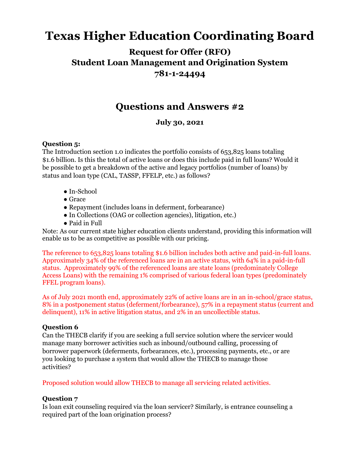# **Texas Higher Education Coordinating Board**

**Request for Offer (RFO) Student Loan Management and Origination System 781-1-24494**

## **Questions and Answers #2**

### **July 30, 2021**

#### **Question 5:**

The Introduction section 1.0 indicates the portfolio consists of 653,825 loans totaling \$1.6 billion. Is this the total of active loans or does this include paid in full loans? Would it be possible to get a breakdown of the active and legacy portfolios (number of loans) by status and loan type (CAL, TASSP, FFELP, etc.) as follows?

- In-School
- Grace
- Repayment (includes loans in deferment, forbearance)
- In Collections (OAG or collection agencies), litigation, etc.)
- Paid in Full

Note: As our current state higher education clients understand, providing this information will enable us to be as competitive as possible with our pricing.

The reference to 653,825 loans totaling \$1.6 billion includes both active and paid-in-full loans. Approximately 34% of the referenced loans are in an active status, with 64% in a paid-in-full status. Approximately 99% of the referenced loans are state loans (predominately College Access Loans) with the remaining 1% comprised of various federal loan types (predominately FFEL program loans).

As of July 2021 month end, approximately 22% of active loans are in an in-school/grace status, 8% in a postponement status (deferment/forbearance), 57% in a repayment status (current and delinquent), 11% in active litigation status, and 2% in an uncollectible status.

#### **Question 6**

Can the THECB clarify if you are seeking a full service solution where the servicer would manage many borrower activities such as inbound/outbound calling, processing of borrower paperwork (deferments, forbearances, etc.), processing payments, etc., or are you looking to purchase a system that would allow the THECB to manage those activities?

Proposed solution would allow THECB to manage all servicing related activities.

#### **Question 7**

Is loan exit counseling required via the loan servicer? Similarly, is entrance counseling a required part of the loan origination process?